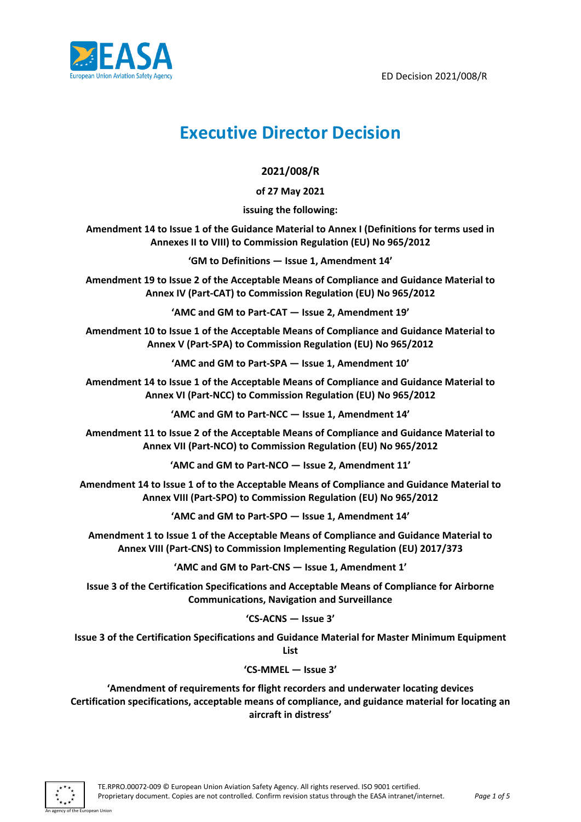



# **Executive Director Decision**

# **2021/008/R**

**of 27 May 2021**

**issuing the following:**

**Amendment 14 to Issue 1 of the Guidance Material to Annex I (Definitions for terms used in Annexes II to VIII) to Commission Regulation (EU) No 965/2012**

**'GM to Definitions — Issue 1, Amendment 14'**

**Amendment 19 to Issue 2 of the Acceptable Means of Compliance and Guidance Material to Annex IV (Part-CAT) to Commission Regulation (EU) No 965/2012**

**'AMC and GM to Part-CAT — Issue 2, Amendment 19'**

**Amendment 10 to Issue 1 of the Acceptable Means of Compliance and Guidance Material to Annex V (Part-SPA) to Commission Regulation (EU) No 965/2012**

**'AMC and GM to Part-SPA — Issue 1, Amendment 10'**

**Amendment 14 to Issue 1 of the Acceptable Means of Compliance and Guidance Material to Annex VI (Part-NCC) to Commission Regulation (EU) No 965/2012**

**'AMC and GM to Part-NCC — Issue 1, Amendment 14'**

**Amendment 11 to Issue 2 of the Acceptable Means of Compliance and Guidance Material to Annex VII (Part-NCO) to Commission Regulation (EU) No 965/2012**

**'AMC and GM to Part-NCO — Issue 2, Amendment 11'**

**Amendment 14 to Issue 1 of to the Acceptable Means of Compliance and Guidance Material to Annex VIII (Part-SPO) to Commission Regulation (EU) No 965/2012**

**'AMC and GM to Part-SPO — Issue 1, Amendment 14'**

**Amendment 1 to Issue 1 of the Acceptable Means of Compliance and Guidance Material to Annex VIII (Part-CNS) to Commission Implementing Regulation (EU) 2017/373**

**'AMC and GM to Part-CNS — Issue 1, Amendment 1'**

**Issue 3 of the Certification Specifications and Acceptable Means of Compliance for Airborne Communications, Navigation and Surveillance**

#### **'CS-ACNS — Issue 3'**

**Issue 3 of the Certification Specifications and Guidance Material for Master Minimum Equipment List**

#### **'CS-MMEL — Issue 3'**

**'Amendment of requirements for flight recorders and underwater locating devices Certification specifications, acceptable means of compliance, and guidance material for locating an aircraft in distress'**

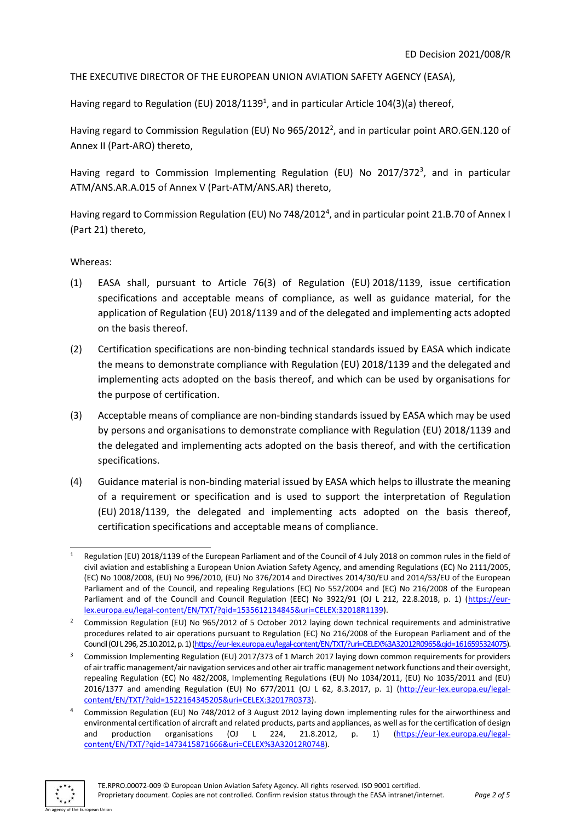THE EXECUTIVE DIRECTOR OF THE EUROPEAN UNION AVIATION SAFETY AGENCY (EASA),

Having regard to Regulation (EU) 2018/1139<sup>1</sup>, and in particular Article 104(3)(a) thereof,

Having regard to Commission Regulation (EU) No 965/2012<sup>2</sup>, and in particular point ARO.GEN.120 of Annex II (Part-ARO) thereto,

Having regard to Commission Implementing Regulation (EU) No 2017/372<sup>3</sup>, and in particular ATM/ANS.AR.A.015 of Annex V (Part-ATM/ANS.AR) thereto,

Having regard to Commission Regulation (EU) No 748/2012<sup>4</sup>, and in particular point 21.B.70 of Annex I (Part 21) thereto,

Whereas:

- (1) EASA shall, pursuant to Article 76(3) of Regulation (EU) 2018/1139, issue certification specifications and acceptable means of compliance, as well as guidance material, for the application of Regulation (EU) 2018/1139 and of the delegated and implementing acts adopted on the basis thereof.
- (2) Certification specifications are non-binding technical standards issued by EASA which indicate the means to demonstrate compliance with Regulation (EU) 2018/1139 and the delegated and implementing acts adopted on the basis thereof, and which can be used by organisations for the purpose of certification.
- (3) Acceptable means of compliance are non-binding standards issued by EASA which may be used by persons and organisations to demonstrate compliance with Regulation (EU) 2018/1139 and the delegated and implementing acts adopted on the basis thereof, and with the certification specifications.
- (4) Guidance material is non-binding material issued by EASA which helps to illustrate the meaning of a requirement or specification and is used to support the interpretation of Regulation (EU) 2018/1139, the delegated and implementing acts adopted on the basis thereof, certification specifications and acceptable means of compliance.

<sup>4</sup> Commission Regulation (EU) No 748/2012 of 3 August 2012 laying down implementing rules for the airworthiness and environmental certification of aircraft and related products, parts and appliances, as well as for the certification of design and production organisations (OJ L 224, 21.8.2012, p. 1) [\(https://eur-lex.europa.eu/legal](https://eur-lex.europa.eu/legal-content/EN/TXT/?qid=1473415871666&uri=CELEX%3A32012R0748)[content/EN/TXT/?qid=1473415871666&uri=CELEX%3A32012R0748\)](https://eur-lex.europa.eu/legal-content/EN/TXT/?qid=1473415871666&uri=CELEX%3A32012R0748).



Regulation (EU) 2018/1139 of the European Parliament and of the Council of 4 July 2018 on common rules in the field of civil aviation and establishing a European Union Aviation Safety Agency, and amending Regulations (EC) No 2111/2005, (EC) No 1008/2008, (EU) No 996/2010, (EU) No 376/2014 and Directives 2014/30/EU and 2014/53/EU of the European Parliament and of the Council, and repealing Regulations (EC) No 552/2004 and (EC) No 216/2008 of the European Parliament and of the Council and Council Regulation (EEC) No 3922/91 (OJ L 212, 22.8.2018, p. 1) [\(https://eur](https://eur-lex.europa.eu/legal-content/EN/TXT/?qid=1535612134845&uri=CELEX:32018R1139)[lex.europa.eu/legal-content/EN/TXT/?qid=1535612134845&uri=CELEX:32018R1139\)](https://eur-lex.europa.eu/legal-content/EN/TXT/?qid=1535612134845&uri=CELEX:32018R1139).

<sup>2</sup> Commission Regulation (EU) No 965/2012 of 5 October 2012 laying down technical requirements and administrative procedures related to air operations pursuant to Regulation (EC) No 216/2008 of the European Parliament and of the Council (OJ L 296, 25.10.2012, p. 1) [\(https://eur-lex.europa.eu/legal-content/EN/TXT/?uri=CELEX%3A32012R0965&qid=1616595324075\).](https://eur-lex.europa.eu/legal-content/EN/TXT/?uri=CELEX%3A32012R0965&qid=1616595324075)

<sup>3</sup> Commission Implementing Regulation (EU) 2017/373 of 1 March 2017 laying down common requirements for providers of air traffic management/air navigation services and other air traffic management network functions and their oversight, repealing Regulation (EC) No 482/2008, Implementing Regulations (EU) No 1034/2011, (EU) No 1035/2011 and (EU) 2016/1377 and amending Regulation (EU) No 677/2011 (OJ L 62, 8.3.2017, p. 1) [\(http://eur-lex.europa.eu/legal](http://eur-lex.europa.eu/legal-content/EN/TXT/?qid=1522164345205&uri=CELEX:32017R0373)[content/EN/TXT/?qid=1522164345205&uri=CELEX:32017R0373\)](http://eur-lex.europa.eu/legal-content/EN/TXT/?qid=1522164345205&uri=CELEX:32017R0373).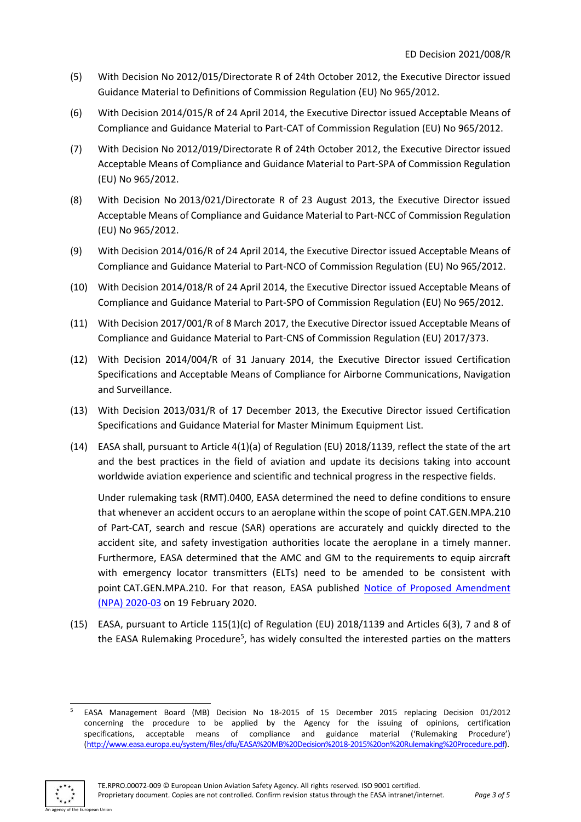- (5) With Decision No 2012/015/Directorate R of 24th October 2012, the Executive Director issued Guidance Material to Definitions of Commission Regulation (EU) No 965/2012.
- (6) With Decision 2014/015/R of 24 April 2014, the Executive Director issued Acceptable Means of Compliance and Guidance Material to Part-CAT of Commission Regulation (EU) No 965/2012.
- (7) With Decision No 2012/019/Directorate R of 24th October 2012, the Executive Director issued Acceptable Means of Compliance and Guidance Material to Part-SPA of Commission Regulation (EU) No 965/2012.
- (8) With Decision No 2013/021/Directorate R of 23 August 2013, the Executive Director issued Acceptable Means of Compliance and Guidance Material to Part-NCC of Commission Regulation (EU) No 965/2012.
- (9) With Decision 2014/016/R of 24 April 2014, the Executive Director issued Acceptable Means of Compliance and Guidance Material to Part-NCO of Commission Regulation (EU) No 965/2012.
- (10) With Decision 2014/018/R of 24 April 2014, the Executive Director issued Acceptable Means of Compliance and Guidance Material to Part-SPO of Commission Regulation (EU) No 965/2012.
- (11) With Decision 2017/001/R of 8 March 2017, the Executive Director issued Acceptable Means of Compliance and Guidance Material to Part-CNS of Commission Regulation (EU) 2017/373.
- (12) With Decision 2014/004/R of 31 January 2014, the Executive Director issued Certification Specifications and Acceptable Means of Compliance for Airborne Communications, Navigation and Surveillance.
- (13) With Decision 2013/031/R of 17 December 2013, the Executive Director issued Certification Specifications and Guidance Material for Master Minimum Equipment List.
- (14) EASA shall, pursuant to Article 4(1)(a) of Regulation (EU) 2018/1139, reflect the state of the art and the best practices in the field of aviation and update its decisions taking into account worldwide aviation experience and scientific and technical progress in the respective fields.

Under rulemaking task (RMT).0400, EASA determined the need to define conditions to ensure that whenever an accident occurs to an aeroplane within the scope of point CAT.GEN.MPA.210 of Part-CAT, search and rescue (SAR) operations are accurately and quickly directed to the accident site, and safety investigation authorities locate the aeroplane in a timely manner. Furthermore, EASA determined that the AMC and GM to the requirements to equip aircraft with emergency locator transmitters (ELTs) need to be amended to be consistent with point CAT.GEN.MPA.210. For that reason, EASA published [Notice of Proposed Amendment](https://www.easa.europa.eu/document-library/notices-of-proposed-amendment/npa-2020-03)  (NPA) [2020-03](https://www.easa.europa.eu/document-library/notices-of-proposed-amendment/npa-2020-03) on 19 February 2020.

(15) EASA, pursuant to Article 115(1)(c) of Regulation (EU) 2018/1139 and Articles 6(3), 7 and 8 of the EASA Rulemaking Procedure<sup>5</sup>, has widely consulted the interested parties on the matters

<sup>5</sup> EASA Management Board (MB) Decision No 18-2015 of 15 December 2015 replacing Decision 01/2012 concerning the procedure to be applied by the Agency for the issuing of opinions, certification specifications, acceptable means of compliance and guidance material ('Rulemaking Procedure') [\(http://www.easa.europa.eu/system/files/dfu/EASA%20MB%20Decision%2018-2015%20on%20Rulemaking%20Procedure.pdf\)](http://www.easa.europa.eu/system/files/dfu/EASA%20MB%20Decision%2018-2015%20on%20Rulemaking%20Procedure.pdf).

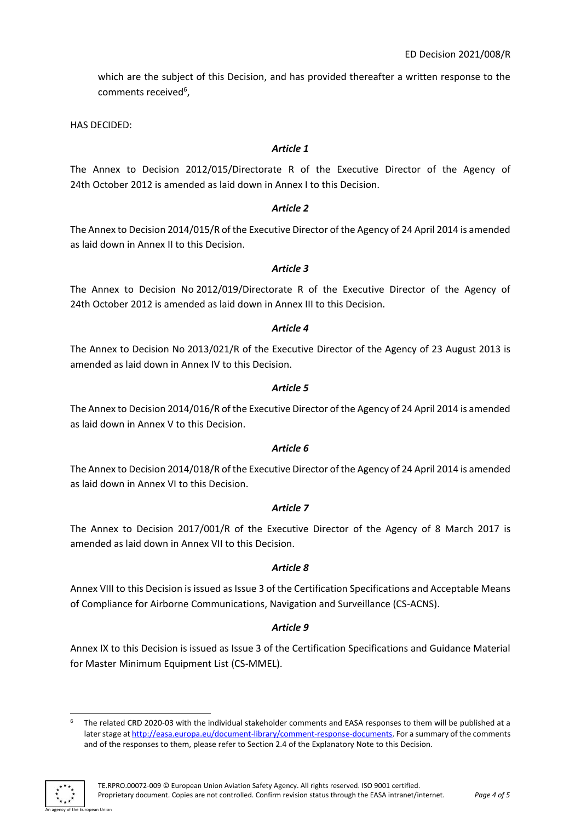which are the subject of this Decision, and has provided thereafter a written response to the comments received<sup>6</sup>,

HAS DECIDED:

# *Article 1*

The Annex to Decision 2012/015/Directorate R of the Executive Director of the Agency of 24th October 2012 is amended as laid down in Annex I to this Decision.

# *Article 2*

The Annex to Decision 2014/015/R of the Executive Director of the Agency of 24 April 2014 is amended as laid down in Annex II to this Decision.

# *Article 3*

The Annex to Decision No 2012/019/Directorate R of the Executive Director of the Agency of 24th October 2012 is amended as laid down in Annex III to this Decision.

### *Article 4*

The Annex to Decision No 2013/021/R of the Executive Director of the Agency of 23 August 2013 is amended as laid down in Annex IV to this Decision.

#### *Article 5*

The Annex to Decision 2014/016/R of the Executive Director of the Agency of 24 April 2014 is amended as laid down in Annex V to this Decision.

#### *Article 6*

The Annex to Decision 2014/018/R of the Executive Director of the Agency of 24 April 2014 is amended as laid down in Annex VI to this Decision.

#### *Article 7*

The Annex to Decision 2017/001/R of the Executive Director of the Agency of 8 March 2017 is amended as laid down in Annex VII to this Decision.

#### *Article 8*

Annex VIII to this Decision is issued as Issue 3 of the Certification Specifications and Acceptable Means of Compliance for Airborne Communications, Navigation and Surveillance (CS-ACNS).

# *Article 9*

Annex IX to this Decision is issued as Issue 3 of the Certification Specifications and Guidance Material for Master Minimum Equipment List (CS-MMEL).

The related CRD 2020-03 with the individual stakeholder comments and EASA responses to them will be published at a later stage a[t http://easa.europa.eu/document-library/comment-response-documents.](http://easa.europa.eu/document-library/comment-response-documents) For a summary of the comments and of the responses to them, please refer to Section 2.4 of the Explanatory Note to this Decision.



.<br>An Hoion